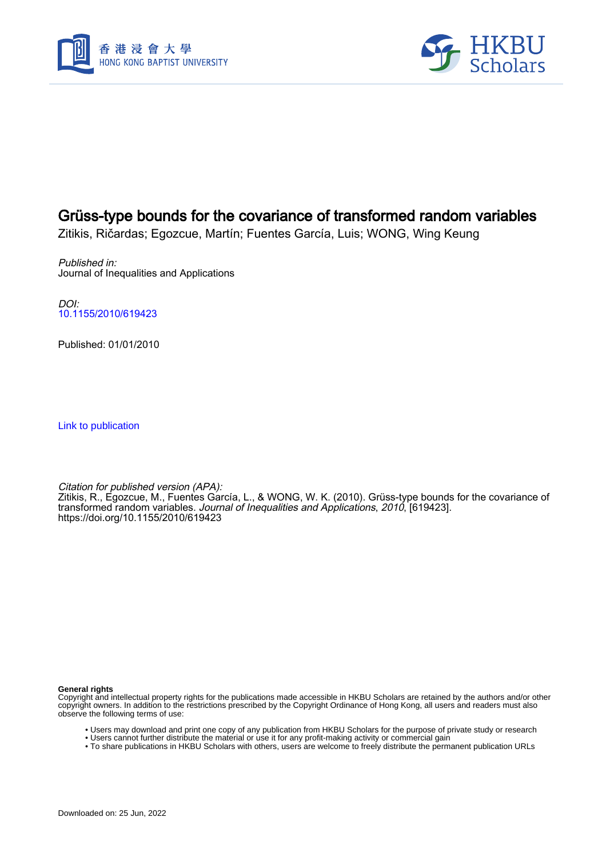



# Grüss-type bounds for the covariance of transformed random variables

Zitikis, Ričardas; Egozcue, Martín; Fuentes García, Luis; WONG, Wing Keung

Published in: Journal of Inequalities and Applications

DOI: [10.1155/2010/619423](https://doi.org/10.1155/2010/619423)

Published: 01/01/2010

[Link to publication](https://scholars.hkbu.edu.hk/en/publications/a9304f55-d0c7-4d1b-a678-2aaa20629874)

Citation for published version (APA): Zitikis, R., Egozcue, M., Fuentes García, L., & WONG, W. K. (2010). Grüss-type bounds for the covariance of transformed random variables. Journal of Inequalities and Applications, 2010, [619423]. <https://doi.org/10.1155/2010/619423>

**General rights**

Copyright and intellectual property rights for the publications made accessible in HKBU Scholars are retained by the authors and/or other copyright owners. In addition to the restrictions prescribed by the Copyright Ordinance of Hong Kong, all users and readers must also observe the following terms of use:

- Users may download and print one copy of any publication from HKBU Scholars for the purpose of private study or research
- Users cannot further distribute the material or use it for any profit-making activity or commercial gain
- To share publications in HKBU Scholars with others, users are welcome to freely distribute the permanent publication URLs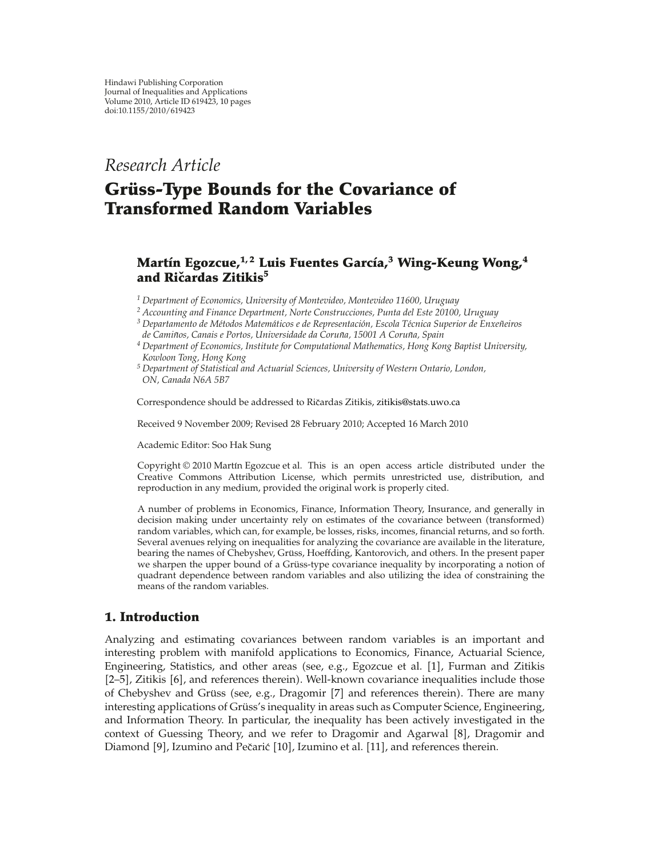### *Research Article*

## **Grüss-Type Bounds for the Covariance of Transformed Random Variables**

### **Martın Egozcue, ´ 1, 2 Luis Fuentes Garcıa, ´ <sup>3</sup> Wing-Keung Wong,<sup>4</sup> and Ricardas Zitikis ˇ <sup>5</sup>**

*<sup>1</sup> Department of Economics, University of Montevideo, Montevideo 11600, Uruguay*

*<sup>2</sup> Accounting and Finance Department, Norte Construcciones, Punta del Este 20100, Uruguay*

*<sup>3</sup> Departamento de Metodos Matem ´ aticos e de Representaci ´ on, Escola T ´ ecnica Superior de Enxe ´ neiros ˜ de Caminos, Canais e Portos, Universidade da Coru ˜ na, 15001 A Coru ˜ na, Spain ˜*

*<sup>4</sup> Department of Economics, Institute for Computational Mathematics, Hong Kong Baptist University, Kowloon Tong, Hong Kong*

*<sup>5</sup> Department of Statistical and Actuarial Sciences, University of Western Ontario, London, ON, Canada N6A 5B7*

Correspondence should be addressed to Ričardas Zitikis, [zitikis@stats.uwo.ca](mailto:zitikis@stats.uwo.ca)

Received 9 November 2009; Revised 28 February 2010; Accepted 16 March 2010

Academic Editor: Soo Hak Sung

Copyright © 2010 Martín Egozcue et al. This is an open access article distributed under the Creative Commons Attribution License, which permits unrestricted use, distribution, and reproduction in any medium, provided the original work is properly cited.

A number of problems in Economics, Finance, Information Theory, Insurance, and generally in decision making under uncertainty rely on estimates of the covariance between (transformed) random variables, which can, for example, be losses, risks, incomes, financial returns, and so forth. Several avenues relying on inequalities for analyzing the covariance are available in the literature, bearing the names of Chebyshev, Grüss, Hoeffding, Kantorovich, and others. In the present paper we sharpen the upper bound of a Grüss-type covariance inequality by incorporating a notion of quadrant dependence between random variables and also utilizing the idea of constraining the means of the random variables.

#### **1. Introduction**

Analyzing and estimating covariances between random variables is an important and interesting problem with manifold applications to Economics, Finance, Actuarial Science, Engineering, Statistics, and other areas (see, e.g., Egozcue et al. [1], Furman and Zitikis  $[2-5]$ , Zitikis  $[6]$ , and references therein. Well-known covariance inequalities include those of Chebyshev and Grüss (see, e.g., Dragomir [7] and references therein). There are many interesting applications of Grüss's inequality in areas such as Computer Science, Engineering, and Information Theory. In particular, the inequality has been actively investigated in the context of Guessing Theory, and we refer to Dragomir and Agarwal [8], Dragomir and Diamond [9], Izumino and Pečarić [10], Izumino et al. [11], and references therein.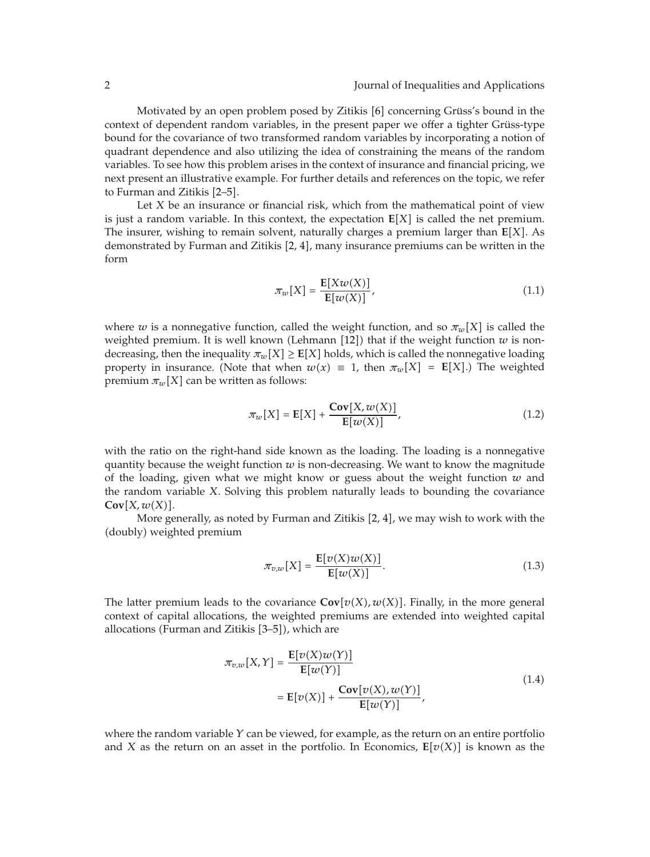Motivated by an open problem posed by Zitikis  $[6]$  concerning Grüss's bound in the context of dependent random variables, in the present paper we offer a tighter Grüss-type bound for the covariance of two transformed random variables by incorporating a notion of quadrant dependence and also utilizing the idea of constraining the means of the random variables. To see how this problem arises in the context of insurance and financial pricing, we next present an illustrative example. For further details and references on the topic, we refer to Furman and Zitikis [2–5].

Let *X* be an insurance or financial risk, which from the mathematical point of view is just a random variable. In this context, the expectation  $E[X]$  is called the net premium. The insurer, wishing to remain solvent, naturally charges a premium larger than **E***X*. As demonstrated by Furman and Zitikis  $[2, 4]$ , many insurance premiums can be written in the form

$$
\pi_w[X] = \frac{\mathbf{E}[Xw(X)]}{\mathbf{E}[w(X)]},\tag{1.1}
$$

where *w* is a nonnegative function, called the weight function, and so  $\pi_w[X]$  is called the weighted premium. It is well known (Lehmann [12]) that if the weight function  $w$  is nondecreasing, then the inequality  $\pi_w[X] \geq E[X]$  holds, which is called the nonnegative loading property in insurance. (Note that when  $w(x) \equiv 1$ , then  $\pi_w[X] = E[X]$ .) The weighted premium  $\pi_w[X]$  can be written as follows:

$$
\pi_w[X] = \mathbf{E}[X] + \frac{\mathbf{Cov}[X, w(X)]}{\mathbf{E}[w(X)]},\tag{1.2}
$$

with the ratio on the right-hand side known as the loading. The loading is a nonnegative quantity because the weight function  $w$  is non-decreasing. We want to know the magnitude of the loading, given what we might know or guess about the weight function  $w$  and the random variable *X*. Solving this problem naturally leads to bounding the covariance  $Cov[X, w(X)].$ 

More generally, as noted by Furman and Zitikis  $[2, 4]$ , we may wish to work with the (doubly) weighted premium

$$
\pi_{v,w}[X] = \frac{\mathbf{E}[v(X)w(X)]}{\mathbf{E}[w(X)]}.
$$
\n(1.3)

The latter premium leads to the covariance  $\text{Cov}[v(X), w(X)]$ . Finally, in the more general context of capital allocations, the weighted premiums are extended into weighted capital allocations (Furman and Zitikis [3–5]), which are

$$
\pi_{v,w}[X,Y] = \frac{\mathbb{E}[v(X)w(Y)]}{\mathbb{E}[w(Y)]}
$$
\n
$$
= \mathbb{E}[v(X)] + \frac{\mathbf{Cov}[v(X), w(Y)]}{\mathbb{E}[w(Y)]},
$$
\n(1.4)

where the random variable *Y* can be viewed, for example, as the return on an entire portfolio and *X* as the return on an asset in the portfolio. In Economics,  $E[v(X)]$  is known as the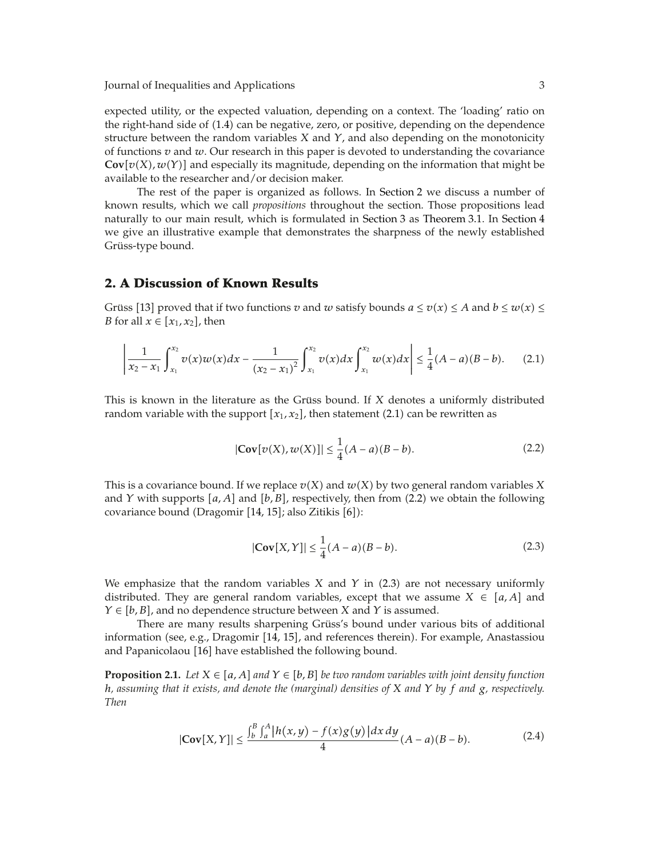Journal of Inequalities and Applications 3

expected utility, or the expected valuation, depending on a context. The 'loading' ratio on the right-hand side of (1.4) can be negative, zero, or positive, depending on the dependence structure between the random variables *X* and *Y*, and also depending on the monotonicity of functions *v* and *w*. Our research in this paper is devoted to understanding the covariance  $\mathbf{Cov}[v(X), w(Y)]$  and especially its magnitude, depending on the information that might be available to the researcher and/or decision maker.

The rest of the paper is organized as follows. In Section 2 we discuss a number of known results, which we call *propositions* throughout the section. Those propositions lead naturally to our main result, which is formulated in Section 3 as Theorem 3.1. In Section 4 we give an illustrative example that demonstrates the sharpness of the newly established Grüss-type bound.

#### **2. A Discussion of Known Results**

Grüss [13] proved that if two functions *v* and *w* satisfy bounds  $a \le v(x) \le A$  and  $b \le w(x) \le$ *B* for all  $x \in [x_1, x_2]$ , then

$$
\left|\frac{1}{x_2-x_1}\int_{x_1}^{x_2} v(x)w(x)dx-\frac{1}{(x_2-x_1)^2}\int_{x_1}^{x_2} v(x)dx\int_{x_1}^{x_2} w(x)dx\right|\leq \frac{1}{4}(A-a)(B-b). \qquad (2.1)
$$

This is known in the literature as the Grüss bound. If X denotes a uniformly distributed random variable with the support  $[x_1, x_2]$ , then statement (2.1) can be rewritten as

$$
|\mathbf{Cov}[v(X), w(X)]| \le \frac{1}{4}(A - a)(B - b).
$$
 (2.2)

This is a covariance bound. If we replace  $v(X)$  and  $w(X)$  by two general random variables X and *Y* with supports [a, A] and [b, B], respectively, then from (2.2) we obtain the following covariance bound (Dragomir [14, 15]; also Zitikis [6]):

$$
|\mathbf{Cov}[X,Y]| \le \frac{1}{4}(A-a)(B-b). \tag{2.3}
$$

We emphasize that the random variables  $X$  and  $Y$  in  $(2.3)$  are not necessary uniformly distributed. They are general random variables, except that we assume  $X \in [a, A]$  and  $Y \in [b, B]$ , and no dependence structure between *X* and *Y* is assumed.

There are many results sharpening Grüss's bound under various bits of additional information (see, e.g., Dragomir [14, 15], and references therein). For example, Anastassiou and Papanicolaou [16] have established the following bound.

**Proposition 2.1.** *Let*  $X \in [a, A]$  *and*  $Y \in [b, B]$  *be two random variables with joint density function h, assuming that it exists, and denote the (marginal) densities of X and Y by f and g, respectively. Then*

$$
|\mathbf{Cov}[X,Y]| \le \frac{\int_b^B \int_a^A |h(x,y) - f(x)g(y)| dx dy}{4} (A - a)(B - b).
$$
 (2.4)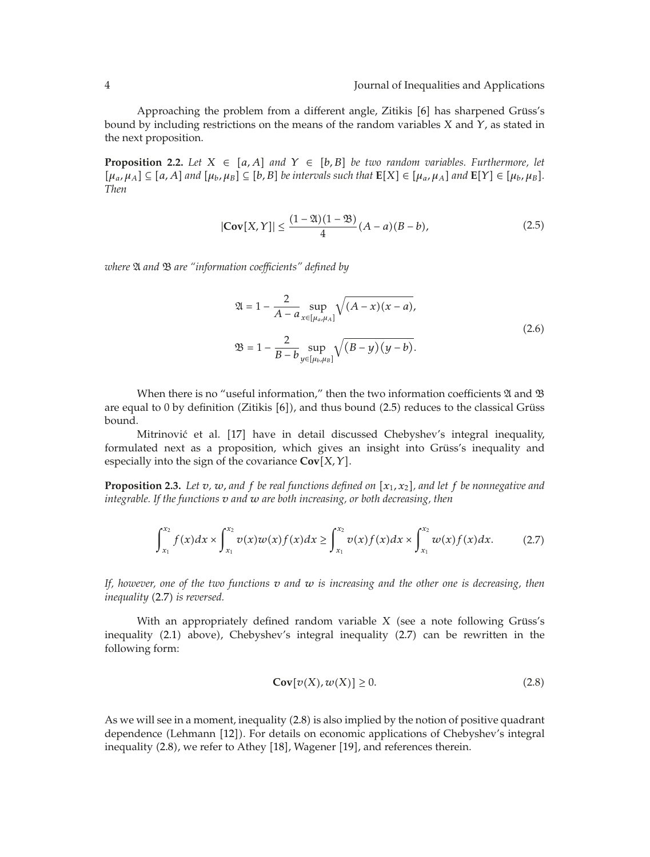Approaching the problem from a different angle, Zitikis [6] has sharpened Grüss's bound by including restrictions on the means of the random variables *X* and *Y*, as stated in the next proposition.

**Proposition 2.2.** Let  $X \in [a, A]$  and  $Y \in [b, B]$  be two random variables. Furthermore, let  $[\mu_a, \mu_A] \subseteq [a, A]$  and  $[\mu_b, \mu_B] \subseteq [b, B]$  be intervals such that  $\mathbf{E}[X] \in [\mu_a, \mu_A]$  and  $\mathbf{E}[Y] \in [\mu_b, \mu_B]$ . *Then*

$$
|\mathbf{Cov}[X,Y]| \le \frac{(1-\mathfrak{A})(1-\mathfrak{B})}{4}(A-a)(B-b),\tag{2.5}
$$

*where* A *and* B *are "information coefficients" defined by*

$$
\mathfrak{A} = 1 - \frac{2}{A - a} \sup_{x \in [\mu_a, \mu_A]} \sqrt{(A - x)(x - a)},
$$
  

$$
\mathfrak{B} = 1 - \frac{2}{B - b} \sup_{y \in [\mu_b, \mu_B]} \sqrt{(B - y)(y - b)}.
$$
 (2.6)

When there is no "useful information," then the two information coefficients  $\mathfrak A$  and  $\mathfrak B$ are equal to 0 by definition (Zitikis  $[6]$ ), and thus bound (2.5) reduces to the classical Grüss bound.

Mitrinović et al. [17] have in detail discussed Chebyshev's integral inequality, formulated next as a proposition, which gives an insight into Grüss's inequality and especially into the sign of the covariance **Cov***X, Y*.

**Proposition 2.3.** Let  $v$ ,  $w$ , and  $f$  be real functions defined on  $[x_1, x_2]$ , and let  $f$  be nonnegative and *integrable. If the functions v and w are both increasing, or both decreasing, then*

$$
\int_{x_1}^{x_2} f(x)dx \times \int_{x_1}^{x_2} v(x)w(x)f(x)dx \ge \int_{x_1}^{x_2} v(x)f(x)dx \times \int_{x_1}^{x_2} w(x)f(x)dx.
$$
 (2.7)

*If, however, one of the two functions v and w is increasing and the other one is decreasing, then inequality* (2.7) *is reversed.* 

With an appropriately defined random variable X (see a note following Grüss's inequality (2.1) above), Chebyshev's integral inequality (2.7) can be rewritten in the following form:

$$
\mathbf{Cov}[v(X), w(X)] \ge 0. \tag{2.8}
$$

As we will see in a moment, inequality (2.8) is also implied by the notion of positive quadrant dependence (Lehmann [12]). For details on economic applications of Chebyshev's integral inequality (2.8), we refer to Athey [18], Wagener [19], and references therein.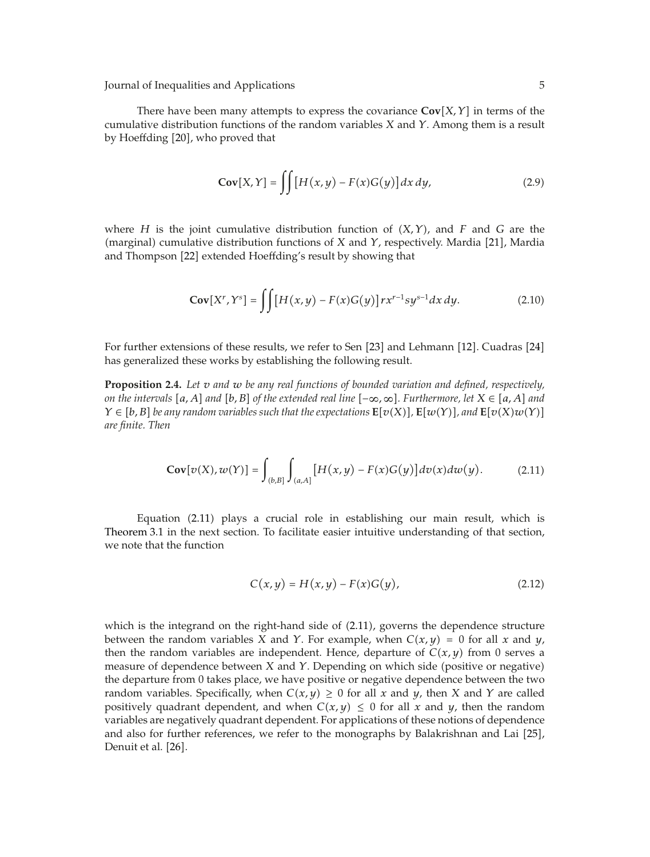Journal of Inequalities and Applications 5

There have been many attempts to express the covariance  $\text{Cov}[X, Y]$  in terms of the cumulative distribution functions of the random variables *X* and *Y*. Among them is a result by Hoeffding [20], who proved that

$$
\mathbf{Cov}[X,Y] = \iint [H(x,y) - F(x)G(y)] dx dy,
$$
 (2.9)

where  $H$  is the joint cumulative distribution function of  $(X, Y)$ , and  $F$  and  $G$  are the (marginal) cumulative distribution functions of *X* and *Y*, respectively. Mardia [21], Mardia and Thompson [22] extended Hoeffding's result by showing that

$$
\mathbf{Cov}[X^r, Y^s] = \iint \left[ H(x, y) - F(x)G(y) \right] rx^{r-1}sy^{s-1} dx dy. \tag{2.10}
$$

For further extensions of these results, we refer to Sen [23] and Lehmann [12]. Cuadras [24] has generalized these works by establishing the following result.

**Proposition 2.4.** *Let v and w be any real functions of bounded variation and defined, respectively, on the intervals*  $[a, A]$  *and*  $[b, B]$  *of the extended real line*  $[-\infty, \infty]$ *. Furthermore, let*  $X \in [a, A]$  *and*  $Y \in [b, B]$  be any random variables such that the expectations  $\mathbf{E}[v(X)], \mathbf{E}[w(Y)],$  and  $\mathbf{E}[v(X)w(Y)]$ *are finite. Then*

$$
\mathbf{Cov}[v(X), w(Y)] = \int_{(b,B]} \int_{(a,A]} [H(x,y) - F(x)G(y)] dv(x) dw(y).
$$
 (2.11)

Equation (2.11) plays a crucial role in establishing our main result, which is Theorem 3.1 in the next section. To facilitate easier intuitive understanding of that section, we note that the function

$$
C(x, y) = H(x, y) - F(x)G(y),
$$
 (2.12)

which is the integrand on the right-hand side of  $(2.11)$ , governs the dependence structure between the random variables *X* and *Y*. For example, when  $C(x, y) = 0$  for all *x* and *y*, then the random variables are independent. Hence, departure of  $C(x, y)$  from 0 serves a measure of dependence between *X* and *Y*. Depending on which side (positive or negative) the departure from 0 takes place, we have positive or negative dependence between the two random variables. Specifically, when  $C(x, y) \geq 0$  for all *x* and *y*, then *X* and *Y* are called positively quadrant dependent, and when  $C(x, y) \leq 0$  for all *x* and *y*, then the random variables are negatively quadrant dependent. For applications of these notions of dependence and also for further references, we refer to the monographs by Balakrishnan and Lai [25], Denuit et al. [26].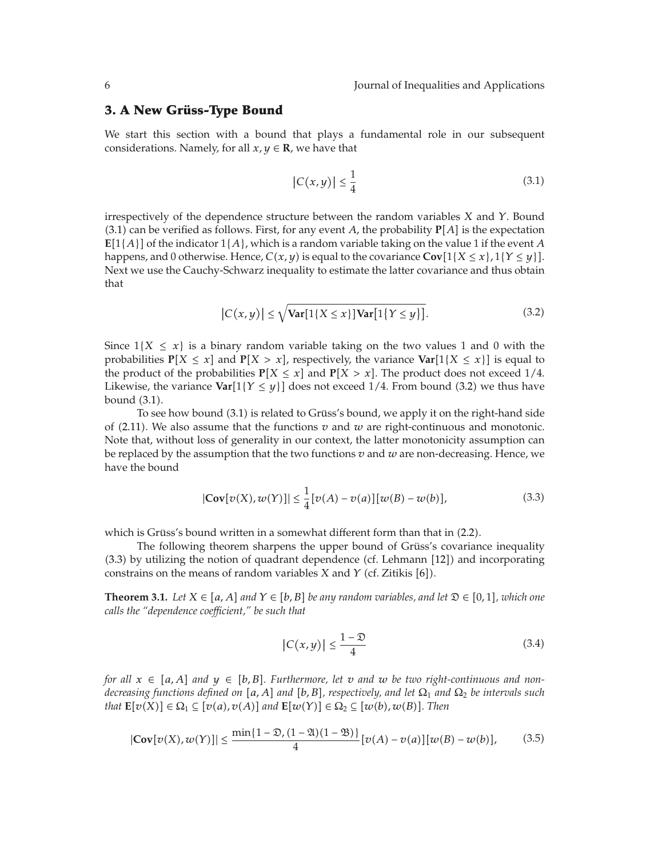#### **3. A New Grüss-Type Bound**

We start this section with a bound that plays a fundamental role in our subsequent considerations. Namely, for all  $x, y \in \mathbb{R}$ , we have that

$$
|C(x,y)| \le \frac{1}{4} \tag{3.1}
$$

irrespectively of the dependence structure between the random variables *X* and *Y*. Bound  $(3.1)$  can be verified as follows. First, for any event *A*, the probability  $P[A]$  is the expectation  $E[1{A}]$  of the indicator  $1{A}$ , which is a random variable taking on the value 1 if the event *A* happens, and 0 otherwise. Hence,  $C(x, y)$  is equal to the covariance  $Cov[1\{X \leq x\}, 1\{Y \leq y\}]$ . Next we use the Cauchy-Schwarz inequality to estimate the latter covariance and thus obtain that

$$
|C(x,y)| \le \sqrt{\text{Var}[1\{X \le x\}]\text{Var}[1\{Y \le y\}]}.
$$
\n(3.2)

Since  $1\{X \leq x\}$  is a binary random variable taking on the two values 1 and 0 with the probabilities  $P[X \leq x]$  and  $P[X > x]$ , respectively, the variance  $Var[1\{X \leq x\}]$  is equal to the product of the probabilities  $P[X \le x]$  and  $P[X > x]$ . The product does not exceed 1/4. Likewise, the variance  $Var[1\{Y \leq y\}]$  does not exceed 1/4. From bound (3.2) we thus have bound (3.1).

To see how bound (3.1) is related to Grüss's bound, we apply it on the right-hand side of  $(2.11)$ . We also assume that the functions  $v$  and  $w$  are right-continuous and monotonic. Note that, without loss of generality in our context, the latter monotonicity assumption can be replaced by the assumption that the two functions *v* and *w* are non-decreasing. Hence, we have the bound

$$
|\mathbf{Cov}[v(X), w(Y)]| \le \frac{1}{4} [v(A) - v(a)][w(B) - w(b)],
$$
\n(3.3)

which is Grüss's bound written in a somewhat different form than that in (2.2).

The following theorem sharpens the upper bound of Grüss's covariance inequality  $(3.3)$  by utilizing the notion of quadrant dependence (cf. Lehmann  $[12]$ ) and incorporating constrains on the means of random variables *X* and *Y* (cf. Zitikis [6]).

**Theorem 3.1.** *Let*  $X \in [a, A]$  *and*  $Y \in [b, B]$  *be any random variables, and let*  $\mathfrak{D} \in [0, 1]$ *, which one calls the "dependence coefficient," be such that*

$$
|C(x,y)| \le \frac{1-\mathfrak{D}}{4} \tag{3.4}
$$

*for all*  $x \in [a, A]$  *and*  $y \in [b, B]$ . Furthermore, let v and w be two right-continuous and non*decreasing functions defined on* [a, A] and [b, B], respectively, and let  $\Omega_1$  and  $\Omega_2$  be intervals such *that*  $\mathbf{E}[v(X)] \in \Omega_1 \subseteq [v(a), v(A)]$  and  $\mathbf{E}[w(Y)] \in \Omega_2 \subseteq [w(b), w(B)]$ . Then

$$
|\mathbf{Cov}[v(X), w(Y)]| \le \frac{\min\{1-\mathfrak{D}, (1-\mathfrak{A})(1-\mathfrak{B})\}}{4} [v(A) - v(a)][w(B) - w(b)],\tag{3.5}
$$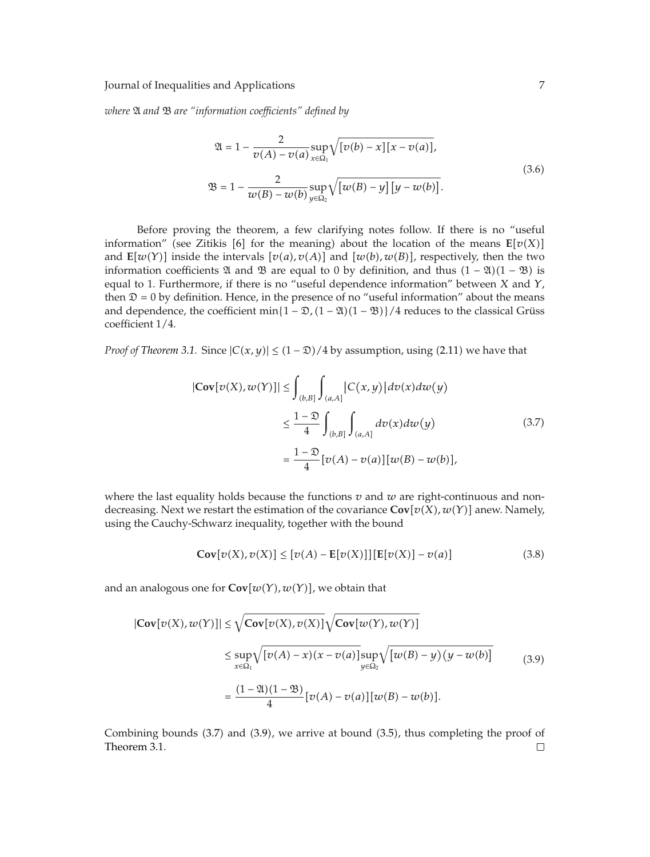*where* A *and* B *are "information coefficients" defined by*

$$
\mathfrak{A} = 1 - \frac{2}{v(A) - v(a)} \sup_{x \in \Omega_1} \sqrt{[v(b) - x][x - v(a)]},
$$
  

$$
\mathfrak{B} = 1 - \frac{2}{w(B) - w(b)} \sup_{y \in \Omega_2} \sqrt{[w(B) - y][y - w(b)]}.
$$
 (3.6)

Before proving the theorem, a few clarifying notes follow. If there is no "useful information" (see Zitikis [6] for the meaning) about the location of the means  $\mathbf{E}[v(X)]$ and  $\mathbb{E}[w(Y)]$  inside the intervals  $[v(a), v(A)]$  and  $[w(b), w(B)]$ , respectively, then the two information coefficients  $\mathfrak A$  and  $\mathfrak B$  are equal to 0 by definition, and thus  $(1 - \mathfrak A)(1 - \mathfrak B)$  is equal to 1. Furthermore, if there is no "useful dependence information" between *X* and *Y*, then  $\mathfrak{D} = 0$  by definition. Hence, in the presence of no "useful information" about the means and dependence, the coefficient  $\min\{1 - \mathfrak{D}, (1 - \mathfrak{A})(1 - \mathfrak{B})\}/4$  reduces to the classical Grüss coefficient 1*/*4.

*Proof of Theorem 3.1.* Since  $|C(x, y)| \le (1 - \mathfrak{D})/4$  by assumption, using (2.11) we have that

$$
|\mathbf{Cov}[v(X), w(Y)]| \le \int_{(b,B]} \int_{(a,A]} |C(x,y)| dv(x) dw(y)
$$
  

$$
\le \frac{1-\mathfrak{D}}{4} \int_{(b,B]} \int_{(a,A]} dv(x) dw(y)
$$
(3.7)  

$$
= \frac{1-\mathfrak{D}}{4} [v(A) - v(a)][w(B) - w(b)],
$$

where the last equality holds because the functions  $v$  and  $w$  are right-continuous and nondecreasing. Next we restart the estimation of the covariance  $\mathbf{Cov}[v(X), w(Y)]$  anew. Namely, using the Cauchy-Schwarz inequality, together with the bound

$$
\mathbf{Cov}[v(X), v(X)] \le [v(A) - \mathbf{E}[v(X)]] [\mathbf{E}[v(X)] - v(a)] \tag{3.8}
$$

and an analogous one for  $\mathbf{Cov}[w(Y), w(Y)]$ , we obtain that

$$
|\mathbf{Cov}[v(X), w(Y)]| \le \sqrt{\mathbf{Cov}[v(X), v(X)]} \sqrt{\mathbf{Cov}[w(Y), w(Y)]}
$$
  

$$
\le \sup_{x \in \Omega_1} \sqrt{[v(A) - x)(x - v(a)]} \sup_{y \in \Omega_2} \sqrt{[w(B) - y)(y - w(b)]}
$$
  

$$
= \frac{(1 - \mathfrak{A})(1 - \mathfrak{B})}{4} [v(A) - v(a)][w(B) - w(b)].
$$
 (3.9)

Combining bounds (3.7) and (3.9), we arrive at bound (3.5), thus completing the proof of Theorem 3.1. $\Box$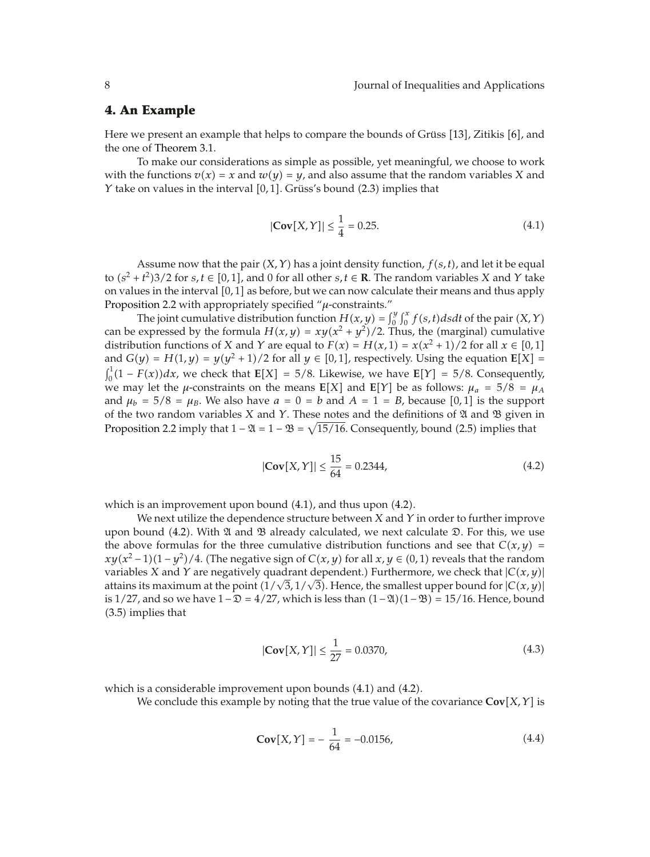#### **4. An Example**

Here we present an example that helps to compare the bounds of Grüss [13], Zitikis [6], and the one of Theorem 3.1.

To make our considerations as simple as possible, yet meaningful, we choose to work with the functions  $v(x) = x$  and  $w(y) = y$ , and also assume that the random variables *X* and *Y* take on values in the interval [0,1]. Grüss's bound (2.3) implies that

$$
|\mathbf{Cov}[X,Y]| \le \frac{1}{4} = 0.25. \tag{4.1}
$$

Assume now that the pair  $(X, Y)$  has a joint density function,  $f(s, t)$ , and let it be equal to  $(s^2 + t^2)3/2$  for  $s, t \in [0, 1]$ , and 0 for all other  $s, t \in \mathbb{R}$ . The random variables *X* and *Y* take on values in the interval [0, 1] as before, but we can now calculate their means and thus apply Proposition 2.2 with appropriately specified "*μ*-constraints."

The joint cumulative distribution function  $H(x, y) = \int_0^y \int_0^x f(s, t) ds dt$  of the pair  $(X, Y)$ can be expressed by the formula  $H(x, y) = xy(x^2 + y^2)/2$ . Thus, the (marginal) cumulative distribution functions of *X* and *Y* are equal to  $F(x) = H(x, 1) = x(x^2 + 1)/2$  for all  $x \in [0, 1]$ and  $G(y) = H(1, y) = y(y^2 + 1)/2$  for all  $y \in [0, 1]$ , respectively. Using the equation  $E[X] =$  $\int_0^1 (1 - F(x)) dx$ , we check that **E**[X] = 5/8. Likewise, we have **E**[Y] = 5/8. Consequently, we may let the *μ*-constraints on the means  $E[X]$  and  $E[Y]$  be as follows:  $\mu_a = 5/8 = \mu_A$ and  $\mu_b = 5/8 = \mu_b$ . We also have  $a = 0 = b$  and  $A = 1 = B$ , because [0,1] is the support of the two random variables *X* and *Y*. These notes and the definitions of A and B given in Proposition 2.2 imply that  $1 - \mathfrak{A} = 1 - \mathfrak{B} = \sqrt{15/16}$ . Consequently, bound (2.5) implies that

$$
|\mathbf{Cov}[X,Y]| \le \frac{15}{64} = 0.2344,\tag{4.2}
$$

which is an improvement upon bound  $(4.1)$ , and thus upon  $(4.2)$ .

We next utilize the dependence structure between *X* and *Y* in order to further improve upon bound (4.2). With  $\mathfrak A$  and  $\mathfrak B$  already calculated, we next calculate  $\mathfrak D$ . For this, we use the above formulas for the three cumulative distribution functions and see that  $C(x, y)$  $xy(x^2-1)(1-y^2)/4$ . (The negative sign of *C*(*x, y*) for all *x, y* ∈ (0*,* 1) reveals that the random variables *X* and *Y* are negatively quadrant dependent.) Furthermore, we check that  $|C(x, y)|$ attains its maximum at the point  $(1/\sqrt{3}, 1/\sqrt{3})$ . Hence, the smallest upper bound for  $|C(x, y)|$ is 1/27, and so we have  $1 - D = 4/27$ , which is less than  $(1 - \mathfrak{A})(1 - \mathfrak{B}) = 15/16$ . Hence, bound -3.5 implies that

$$
|\mathbf{Cov}[X,Y]| \le \frac{1}{27} = 0.0370,\tag{4.3}
$$

which is a considerable improvement upon bounds (4.1) and (4.2).

We conclude this example by noting that the true value of the covariance  $\text{Cov}[X, Y]$  is

$$
\mathbf{Cov}[X, Y] = -\frac{1}{64} = -0.0156,\tag{4.4}
$$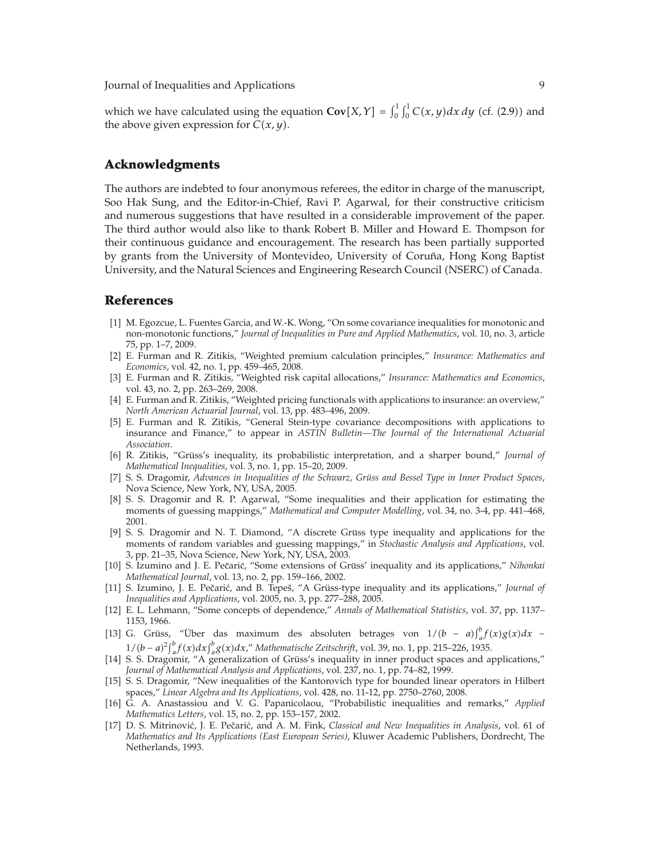Journal of Inequalities and Applications 9

which we have calculated using the equation  $Cov[X, Y] = \int_0^1 \int_0^1 C(x, y) dx dy$  (cf. (2.9)) and the above given expression for  $C(x, y)$ .

#### **Acknowledgments**

The authors are indebted to four anonymous referees, the editor in charge of the manuscript, Soo Hak Sung, and the Editor-in-Chief, Ravi P. Agarwal, for their constructive criticism and numerous suggestions that have resulted in a considerable improvement of the paper. The third author would also like to thank Robert B. Miller and Howard E. Thompson for their continuous guidance and encouragement. The research has been partially supported by grants from the University of Montevideo, University of Coruña, Hong Kong Baptist University, and the Natural Sciences and Engineering Research Council (NSERC) of Canada.

#### **References**

- [1] M. Egozcue, L. Fuentes Garcia, and W.-K. Wong, "On some covariance inequalities for monotonic and non-monotonic functions," *Journal of Inequalities in Pure and Applied Mathematics*, vol. 10, no. 3, article 75, pp. 1–7, 2009.
- 2 E. Furman and R. Zitikis, "Weighted premium calculation principles," *Insurance: Mathematics and Economics*, vol. 42, no. 1, pp. 459–465, 2008.
- 3 E. Furman and R. Zitikis, "Weighted risk capital allocations," *Insurance: Mathematics and Economics*, vol. 43, no. 2, pp. 263–269, 2008.
- [4] E. Furman and R. Zitikis, "Weighted pricing functionals with applications to insurance: an overview," *North American Actuarial Journal*, vol. 13, pp. 483–496, 2009.
- 5 E. Furman and R. Zitikis, "General Stein-type covariance decompositions with applications to insurance and Finance," to appear in *ASTIN Bulletin—The Journal of the International Actuarial Association*.
- [6] R. Zitikis, "Grüss's inequality, its probabilistic interpretation, and a sharper bound," *Journal of Mathematical Inequalities*, vol. 3, no. 1, pp. 15–20, 2009.
- [7] S. S. Dragomir, *Advances in Inequalities of the Schwarz*, Grüss and Bessel Type in Inner Product Spaces, Nova Science, New York, NY, USA, 2005.
- 8 S. S. Dragomir and R. P. Agarwal, "Some inequalities and their application for estimating the moments of guessing mappings," *Mathematical and Computer Modelling*, vol. 34, no. 3-4, pp. 441–468, 2001.
- [9] S. S. Dragomir and N. T. Diamond, "A discrete Grüss type inequality and applications for the moments of random variables and guessing mappings," in *Stochastic Analysis and Applications*, vol. 3, pp. 21–35, Nova Science, New York, NY, USA, 2003.
- [10] S. Izumino and J. E. Pečarić, "Some extensions of Grüss' inequality and its applications," *Nihonkai Mathematical Journal*, vol. 13, no. 2, pp. 159–166, 2002.
- [11] S. Izumino, J. E. Pečarić, and B. Tepeš, "A Grüss-type inequality and its applications," *Journal of Inequalities and Applications*, vol. 2005, no. 3, pp. 277–288, 2005.
- 12 E. L. Lehmann, "Some concepts of dependence," *Annals of Mathematical Statistics*, vol. 37, pp. 1137– 1153, 1966.
- [13] G. Grüss, "Über das maximum des absoluten betrages von  $1/(b a)\int_a^b f(x)g(x)dx$  1/(b − a)<sup>2</sup> $\int_a^b f(x) dx \int_a^b g(x) dx$ ," Mathematische Zeitschrift, vol. 39, no. 1, pp. 215–226, 1935.
- 14 S. S. Dragomir, "A generalization of Gruss's inequality in inner product spaces and applications," ¨ *Journal of Mathematical Analysis and Applications*, vol. 237, no. 1, pp. 74–82, 1999.
- 15 S. S. Dragomir, "New inequalities of the Kantorovich type for bounded linear operators in Hilbert spaces," *Linear Algebra and Its Applications*, vol. 428, no. 11-12, pp. 2750–2760, 2008.
- 16 G. A. Anastassiou and V. G. Papanicolaou, "Probabilistic inequalities and remarks," *Applied Mathematics Letters*, vol. 15, no. 2, pp. 153–157, 2002.
- [17] D. S. Mitrinović, J. E. Pečarić, and A. M. Fink, *Classical and New Inequalities in Analysis*, vol. 61 of *Mathematics and Its Applications (East European Series)*, Kluwer Academic Publishers, Dordrecht, The Netherlands, 1993.